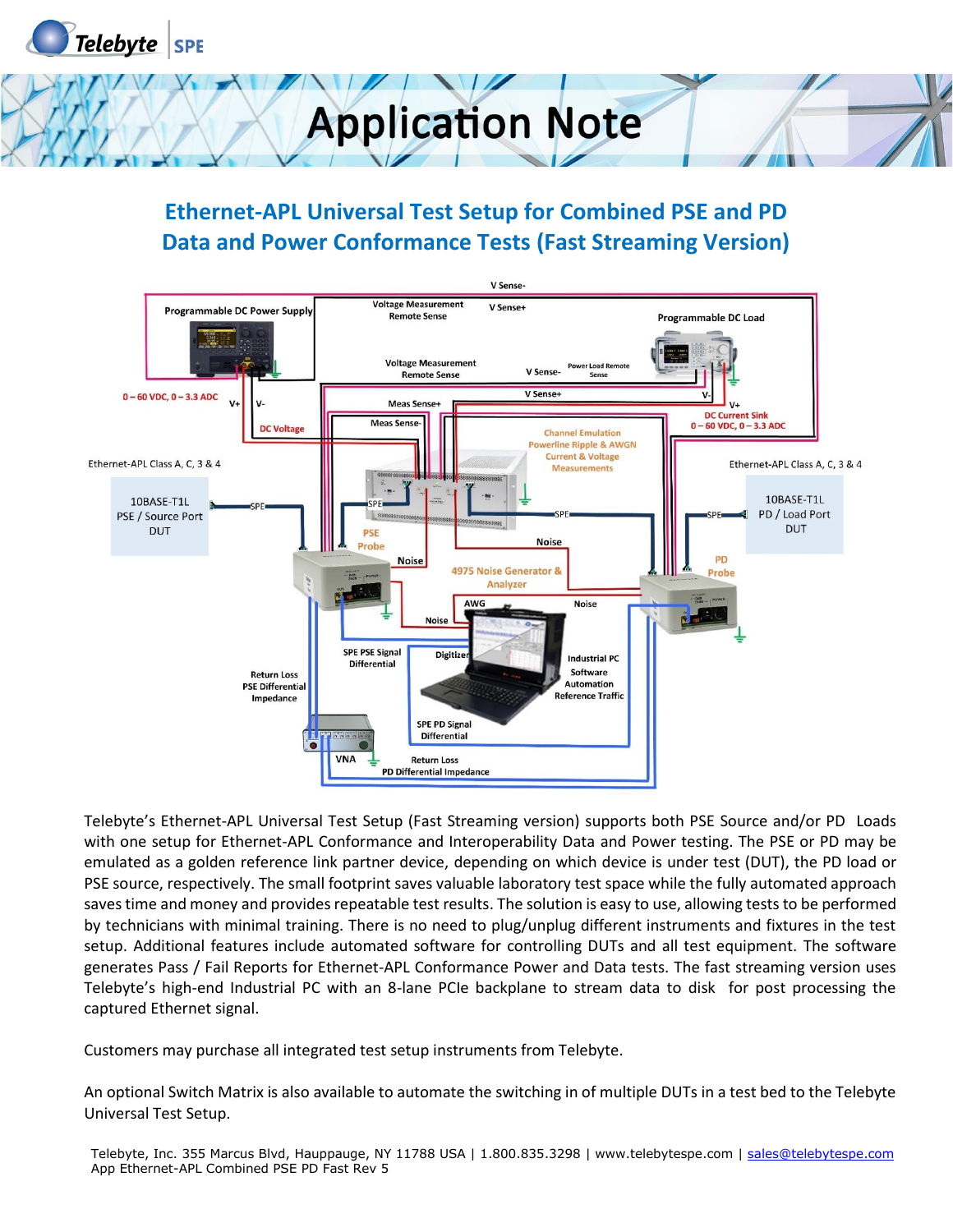

#### **Ethernet-APL Universal Test Setup for Combined PSE and PD Data and Power Conformance Tests (Fast Streaming Version)**



Telebyte's Ethernet-APL Universal Test Setup (Fast Streaming version) supports both PSE Source and/or PD Loads with one setup for Ethernet-APL Conformance and Interoperability Data and Power testing. The PSE or PD may be emulated as a golden reference link partner device, depending on which device is under test (DUT), the PD load or PSE source, respectively. The small footprint saves valuable laboratory test space while the fully automated approach saves time and money and provides repeatable test results. The solution is easy to use, allowing tests to be performed by technicians with minimal training. There is no need to plug/unplug different instruments and fixtures in the test setup. Additional features include automated software for controlling DUTs and all test equipment. The software generates Pass / Fail Reports for Ethernet-APL Conformance Power and Data tests. The fast streaming version uses Telebyte's high-end Industrial PC with an 8-lane PCIe backplane to stream data to disk for post processing the captured Ethernet signal.

Customers may purchase all integrated test setup instruments from Telebyte.

An optional Switch Matrix is also available to automate the switching in of multiple DUTs in a test bed to the Telebyte Universal Test Setup.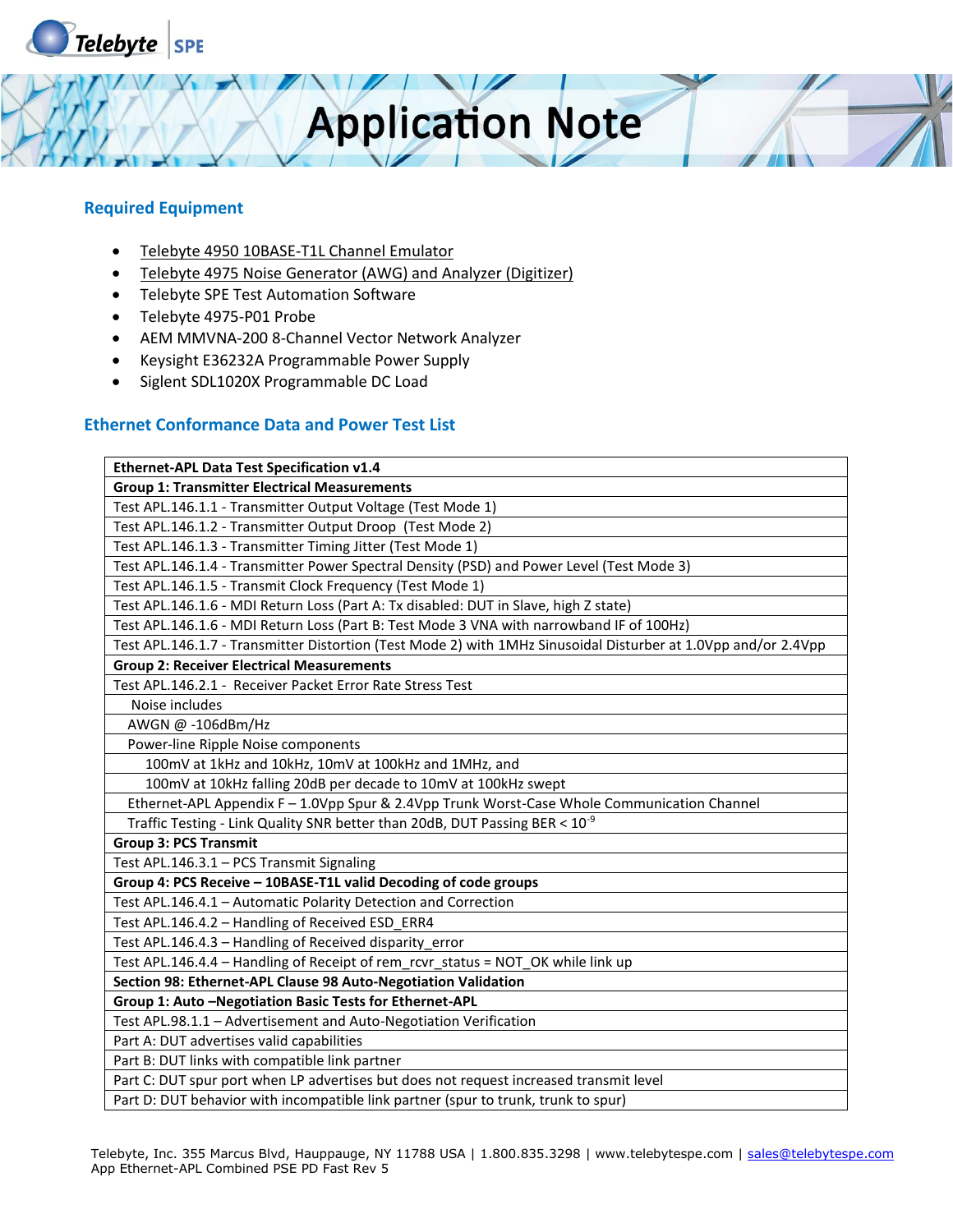

#### **Required Equipment**

- Telebyte 4950 10BASE-T1L Channel Emulator
- Telebyte 4975 Noise Generator (AWG) and Analyzer (Digitizer)
- Telebyte SPE Test Automation Software
- Telebyte 4975-P01 Probe
- AEM MMVNA-200 8-Channel Vector Network Analyzer
- Keysight E36232A Programmable Power Supply
- Siglent SDL1020X Programmable DC Load

#### **Ethernet Conformance Data and Power Test List**

| Ethernet-APL Data Test Specification v1.4                                                                      |
|----------------------------------------------------------------------------------------------------------------|
| <b>Group 1: Transmitter Electrical Measurements</b>                                                            |
| Test APL.146.1.1 - Transmitter Output Voltage (Test Mode 1)                                                    |
| Test APL.146.1.2 - Transmitter Output Droop (Test Mode 2)                                                      |
| Test APL.146.1.3 - Transmitter Timing Jitter (Test Mode 1)                                                     |
| Test APL.146.1.4 - Transmitter Power Spectral Density (PSD) and Power Level (Test Mode 3)                      |
| Test APL.146.1.5 - Transmit Clock Frequency (Test Mode 1)                                                      |
| Test APL.146.1.6 - MDI Return Loss (Part A: Tx disabled: DUT in Slave, high Z state)                           |
| Test APL.146.1.6 - MDI Return Loss (Part B: Test Mode 3 VNA with narrowband IF of 100Hz)                       |
| Test APL.146.1.7 - Transmitter Distortion (Test Mode 2) with 1MHz Sinusoidal Disturber at 1.0Vpp and/or 2.4Vpp |
| <b>Group 2: Receiver Electrical Measurements</b>                                                               |
| Test APL.146.2.1 - Receiver Packet Error Rate Stress Test                                                      |
| Noise includes                                                                                                 |
| AWGN @ -106dBm/Hz                                                                                              |
| Power-line Ripple Noise components                                                                             |
| 100mV at 1kHz and 10kHz, 10mV at 100kHz and 1MHz, and                                                          |
| 100mV at 10kHz falling 20dB per decade to 10mV at 100kHz swept                                                 |
| Ethernet-APL Appendix F - 1.0Vpp Spur & 2.4Vpp Trunk Worst-Case Whole Communication Channel                    |
| Traffic Testing - Link Quality SNR better than 20dB, DUT Passing BER < 10 <sup>-9</sup>                        |
| <b>Group 3: PCS Transmit</b>                                                                                   |
| Test APL.146.3.1 - PCS Transmit Signaling                                                                      |
| Group 4: PCS Receive - 10BASE-T1L valid Decoding of code groups                                                |
| Test APL.146.4.1 - Automatic Polarity Detection and Correction                                                 |
| Test APL.146.4.2 - Handling of Received ESD ERR4                                                               |
| Test APL.146.4.3 - Handling of Received disparity error                                                        |
| Test APL.146.4.4 - Handling of Receipt of rem_rcvr_status = NOT_OK while link up                               |
| Section 98: Ethernet-APL Clause 98 Auto-Negotiation Validation                                                 |
| Group 1: Auto - Negotiation Basic Tests for Ethernet-APL                                                       |
| Test APL.98.1.1 - Advertisement and Auto-Negotiation Verification                                              |
| Part A: DUT advertises valid capabilities                                                                      |
| Part B: DUT links with compatible link partner                                                                 |
| Part C: DUT spur port when LP advertises but does not request increased transmit level                         |
| Part D: DUT behavior with incompatible link partner (spur to trunk, trunk to spur)                             |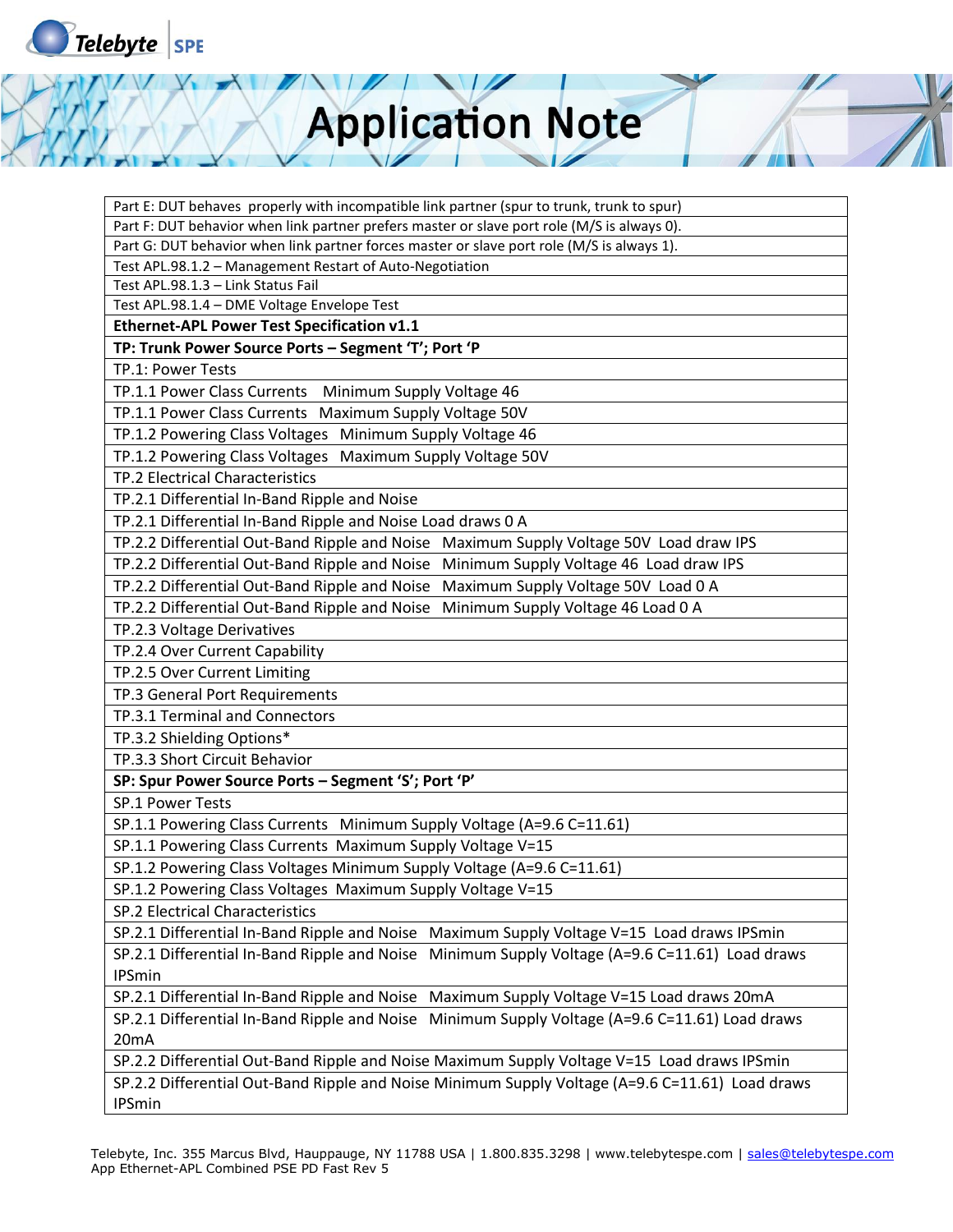

| Part E: DUT behaves properly with incompatible link partner (spur to trunk, trunk to spur)      |  |
|-------------------------------------------------------------------------------------------------|--|
| Part F: DUT behavior when link partner prefers master or slave port role (M/S is always 0).     |  |
| Part G: DUT behavior when link partner forces master or slave port role (M/S is always 1).      |  |
| Test APL.98.1.2 - Management Restart of Auto-Negotiation                                        |  |
| Test APL.98.1.3 - Link Status Fail                                                              |  |
| Test APL.98.1.4 - DME Voltage Envelope Test                                                     |  |
| Ethernet-APL Power Test Specification v1.1                                                      |  |
| TP: Trunk Power Source Ports - Segment 'T'; Port 'P                                             |  |
| TP.1: Power Tests                                                                               |  |
| TP.1.1 Power Class Currents Minimum Supply Voltage 46                                           |  |
| TP.1.1 Power Class Currents Maximum Supply Voltage 50V                                          |  |
| TP.1.2 Powering Class Voltages Minimum Supply Voltage 46                                        |  |
| TP.1.2 Powering Class Voltages Maximum Supply Voltage 50V                                       |  |
| TP.2 Electrical Characteristics                                                                 |  |
| TP.2.1 Differential In-Band Ripple and Noise                                                    |  |
| TP.2.1 Differential In-Band Ripple and Noise Load draws 0 A                                     |  |
| TP.2.2 Differential Out-Band Ripple and Noise<br>Maximum Supply Voltage 50V Load draw IPS       |  |
| TP.2.2 Differential Out-Band Ripple and Noise<br>Minimum Supply Voltage 46 Load draw IPS        |  |
| TP.2.2 Differential Out-Band Ripple and Noise<br>Maximum Supply Voltage 50V Load 0 A            |  |
| Minimum Supply Voltage 46 Load 0 A<br>TP.2.2 Differential Out-Band Ripple and Noise             |  |
| TP.2.3 Voltage Derivatives                                                                      |  |
| TP.2.4 Over Current Capability                                                                  |  |
| TP.2.5 Over Current Limiting                                                                    |  |
| TP.3 General Port Requirements                                                                  |  |
| TP.3.1 Terminal and Connectors                                                                  |  |
| TP.3.2 Shielding Options*                                                                       |  |
| TP.3.3 Short Circuit Behavior                                                                   |  |
| SP: Spur Power Source Ports - Segment 'S'; Port 'P'                                             |  |
| <b>SP.1 Power Tests</b>                                                                         |  |
| SP.1.1 Powering Class Currents Minimum Supply Voltage (A=9.6 C=11.61)                           |  |
| SP.1.1 Powering Class Currents Maximum Supply Voltage V=15                                      |  |
| SP.1.2 Powering Class Voltages Minimum Supply Voltage (A=9.6 C=11.61)                           |  |
| SP.1.2 Powering Class Voltages Maximum Supply Voltage V=15                                      |  |
| SP.2 Electrical Characteristics                                                                 |  |
| SP.2.1 Differential In-Band Ripple and Noise Maximum Supply Voltage V=15 Load draws IPSmin      |  |
| SP.2.1 Differential In-Band Ripple and Noise Minimum Supply Voltage (A=9.6 C=11.61) Load draws  |  |
| <b>IPSmin</b>                                                                                   |  |
| SP.2.1 Differential In-Band Ripple and Noise Maximum Supply Voltage V=15 Load draws 20mA        |  |
| SP.2.1 Differential In-Band Ripple and Noise Minimum Supply Voltage (A=9.6 C=11.61) Load draws  |  |
| 20 <sub>m</sub> A                                                                               |  |
| SP.2.2 Differential Out-Band Ripple and Noise Maximum Supply Voltage V=15 Load draws IPSmin     |  |
| SP.2.2 Differential Out-Band Ripple and Noise Minimum Supply Voltage (A=9.6 C=11.61) Load draws |  |
| <b>IPSmin</b>                                                                                   |  |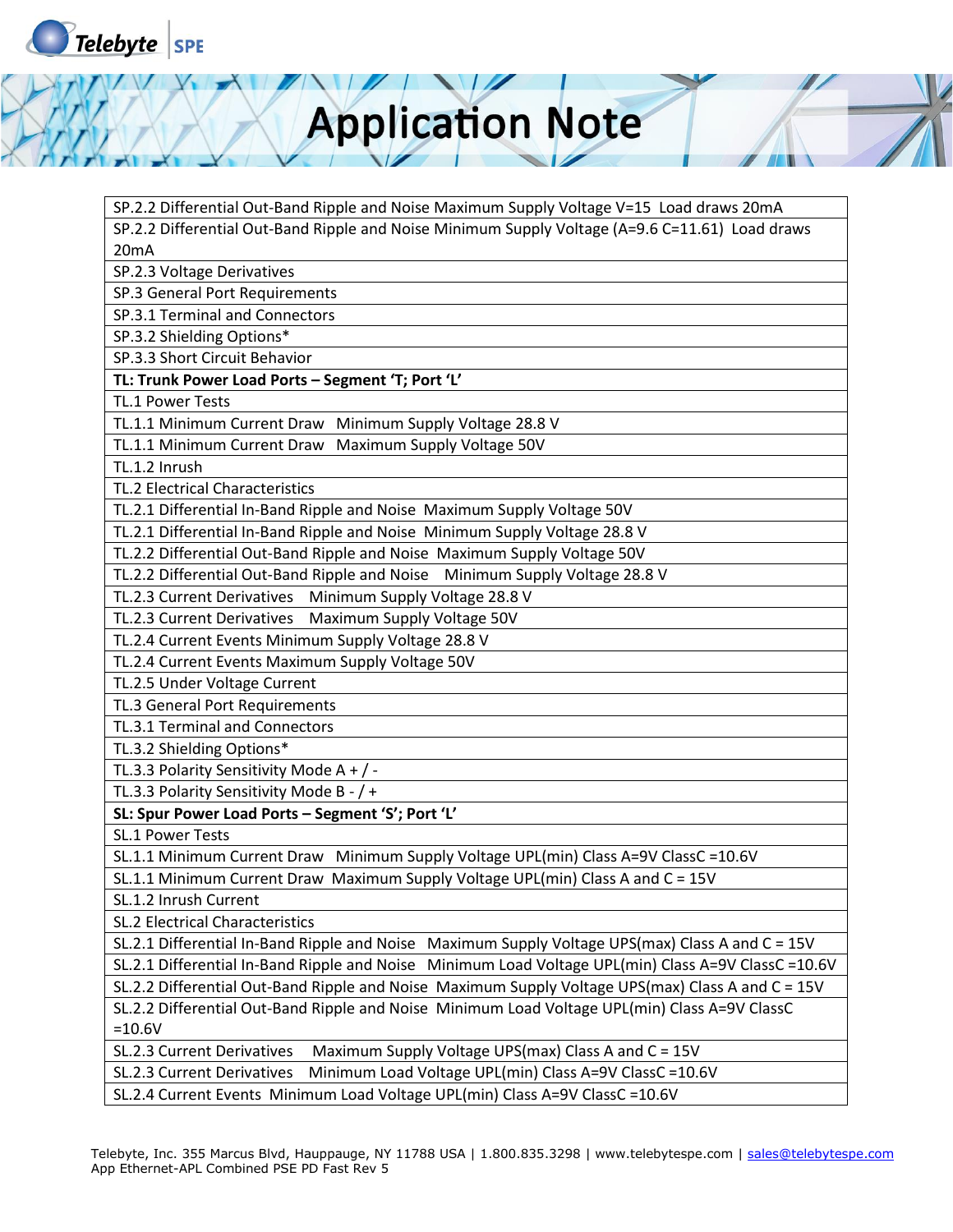

SP.2.2 Differential Out-Band Ripple and Noise Maximum Supply Voltage V=15 Load draws 20mA SP.2.2 Differential Out-Band Ripple and Noise Minimum Supply Voltage (A=9.6 C=11.61) Load draws 20mA

SP.2.3 Voltage Derivatives

SP.3 General Port Requirements

SP.3.1 Terminal and Connectors

SP.3.2 Shielding Options\*

SP.3.3 Short Circuit Behavior

**TL: Trunk Power Load Ports – Segment 'T; Port 'L'**

TL.1 Power Tests

TL.1.1 Minimum Current Draw Minimum Supply Voltage 28.8 V

TL.1.1 Minimum Current Draw Maximum Supply Voltage 50V

TL.1.2 Inrush

TL.2 Electrical Characteristics

TL.2.1 Differential In-Band Ripple and Noise Maximum Supply Voltage 50V

TL.2.1 Differential In-Band Ripple and Noise Minimum Supply Voltage 28.8 V

TL.2.2 Differential Out-Band Ripple and Noise Maximum Supply Voltage 50V

TL.2.2 Differential Out-Band Ripple and Noise Minimum Supply Voltage 28.8 V

TL.2.3 Current Derivatives Minimum Supply Voltage 28.8 V

TL.2.3 Current Derivatives Maximum Supply Voltage 50V

TL.2.4 Current Events Minimum Supply Voltage 28.8 V

TL.2.4 Current Events Maximum Supply Voltage 50V

TL.2.5 Under Voltage Current

TL.3 General Port Requirements

TL.3.1 Terminal and Connectors

TL.3.2 Shielding Options\*

TL.3.3 Polarity Sensitivity Mode A + / -

TL.3.3 Polarity Sensitivity Mode B - / +

**SL: Spur Power Load Ports – Segment 'S'; Port 'L'**

SL.1 Power Tests

SL.1.1 Minimum Current Draw Minimum Supply Voltage UPL(min) Class A=9V ClassC =10.6V

SL.1.1 Minimum Current Draw Maximum Supply Voltage UPL(min) Class A and C = 15V

SL.1.2 Inrush Current

SL.2 Electrical Characteristics

SL.2.1 Differential In-Band Ripple and Noise Maximum Supply Voltage UPS(max) Class A and C = 15V

SL.2.1 Differential In-Band Ripple and Noise Minimum Load Voltage UPL(min) Class A=9V ClassC =10.6V

SL.2.2 Differential Out-Band Ripple and Noise Maximum Supply Voltage UPS(max) Class A and C = 15V

SL.2.2 Differential Out-Band Ripple and Noise Minimum Load Voltage UPL(min) Class A=9V ClassC =10.6V

SL.2.3 Current Derivatives Maximum Supply Voltage UPS(max) Class A and C = 15V

SL.2.3 Current Derivatives Minimum Load Voltage UPL(min) Class A=9V ClassC =10.6V

SL.2.4 Current Events Minimum Load Voltage UPL(min) Class A=9V ClassC =10.6V